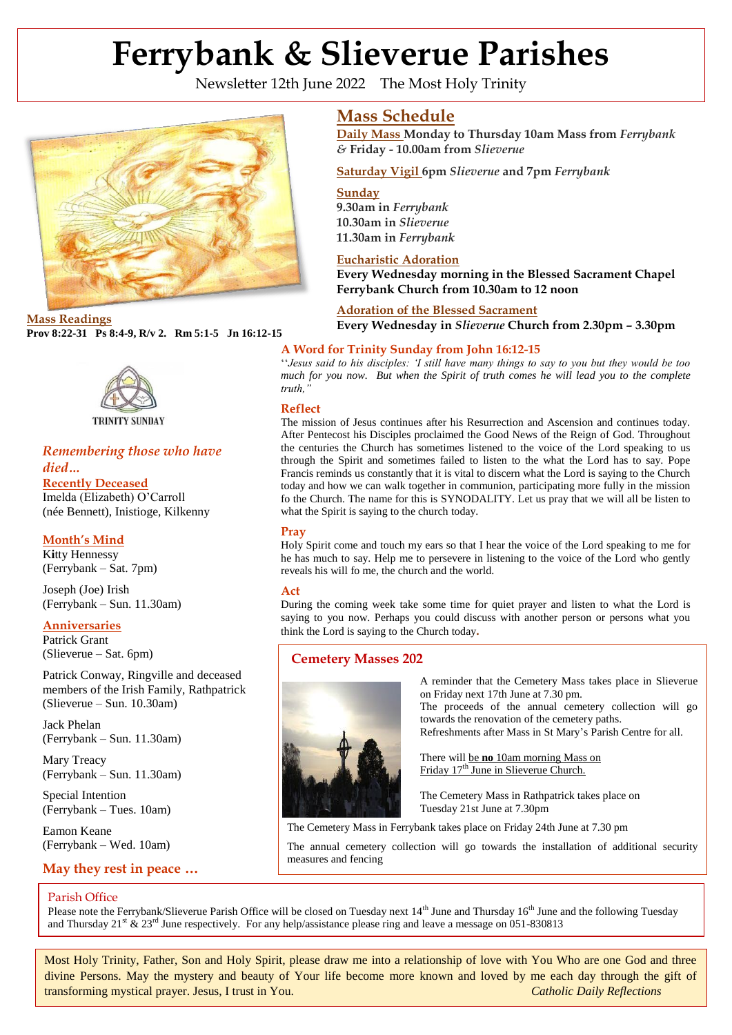# **Ferrybank & Slieverue Parishes**

Newsletter 12th June 2022 The Most Holy Trinity





**TRINITY SUNDAY** 

## *Remembering those who have died…*

**Recently Deceased**

 (née Bennett), Inistioge, Kilkenny Imelda (Elizabeth) O'Carroll

# **Month's Mind**

K**i**tty Hennessy (Ferrybank – Sat. 7pm)

Joseph (Joe) Irish (Ferrybank – Sun. 11.30am)

# **Anniversaries**

Patrick Grant (Slieverue – Sat. 6pm)

Patrick Conway, Ringville and deceased members of the Irish Family, Rathpatrick (Slieverue – Sun. 10.30am)

Jack Phelan (Ferrybank – Sun. 11.30am)

Mary Treacy (Ferrybank – Sun. 11.30am)

Special Intention (Ferrybank – Tues. 10am)

Eamon Keane (Ferrybank – Wed. 10am)

# **May they rest in peace …**

## Parish Office

**Mass Schedule**

**Daily Mass Monday to Thursday 10am Mass from** *Ferrybank &* **Friday - 10.00am from** *Slieverue*

**Saturday Vigil 6pm** *Slieverue* **and 7pm** *Ferrybank* 

**Sunday 9.30am in** *Ferrybank* 

**10.30am in** *Slieverue*  **11.30am in** *Ferrybank*

## **Eucharistic Adoration**

**Every Wednesday morning in the Blessed Sacrament Chapel Ferrybank Church from 10.30am to 12 noon**

**Adoration of the Blessed Sacrament Mass Readings**<br>**Every Wednesday in** *Slieverue* **Church from 2.30pm - 3.30pm**<br>**Every Wednesday in** *Slieverue* **Church from 2.30pm - 3.30pm** 

## **A Word for Trinity Sunday from John 16:12-15**

''*Jesus said to his disciples: 'I still have many things to say to you but they would be too much for you now. But when the Spirit of truth comes he will lead you to the complete truth,"*

## **Reflect**

The mission of Jesus continues after his Resurrection and Ascension and continues today. After Pentecost his Disciples proclaimed the Good News of the Reign of God. Throughout the centuries the Church has sometimes listened to the voice of the Lord speaking to us through the Spirit and sometimes failed to listen to the what the Lord has to say. Pope Francis reminds us constantly that it is vital to discern what the Lord is saying to the Church today and how we can walk together in communion, participating more fully in the mission fo the Church. The name for this is SYNODALITY. Let us pray that we will all be listen to what the Spirit is saying to the church today.

## **Pray**

Holy Spirit come and touch my ears so that I hear the voice of the Lord speaking to me for he has much to say. Help me to persevere in listening to the voice of the Lord who gently reveals his will fo me, the church and the world.

## **Act**

During the coming week take some time for quiet prayer and listen to what the Lord is saying to you now. Perhaps you could discuss with another person or persons what you think the Lord is saying to the Church today**.**

# **Cemetery Masses 202**



A reminder that the Cemetery Mass takes place in Slieverue on Friday next 17th June at 7.30 pm.

The proceeds of the annual cemetery collection will go towards the renovation of the cemetery paths.

Refreshments after Mass in St Mary's Parish Centre for all.

There will be **no** 10am morning Mass on Friday 17<sup>th</sup> June in Slieverue Church.

The Cemetery Mass in Rathpatrick takes place on Tuesday 21st June at 7.30pm

The Cemetery Mass in Ferrybank takes place on Friday 24th June at 7.30 pm

The annual cemetery collection will go towards the installation of additional security **2** measures and fencing

Please note the Ferrybank/Slieverue Parish Office will be closed on Tuesday next  $14<sup>th</sup>$  June and Thursday  $16<sup>th</sup>$  June and the following Tuesday and Thursday 21<sup>st</sup> & 23<sup>rd</sup> June respectively. For any help/assistance please ring and leave a message on 051-830813

Most Holy Trinity, Father, Son and Holy Spirit, please draw me into a relationship of love with You Who are one God and three divine Persons. May the mystery and beauty of Your life become more known and loved by me each day through the gift of transforming mystical prayer. Jesus, I trust in You. *Catholic Daily Reflections*